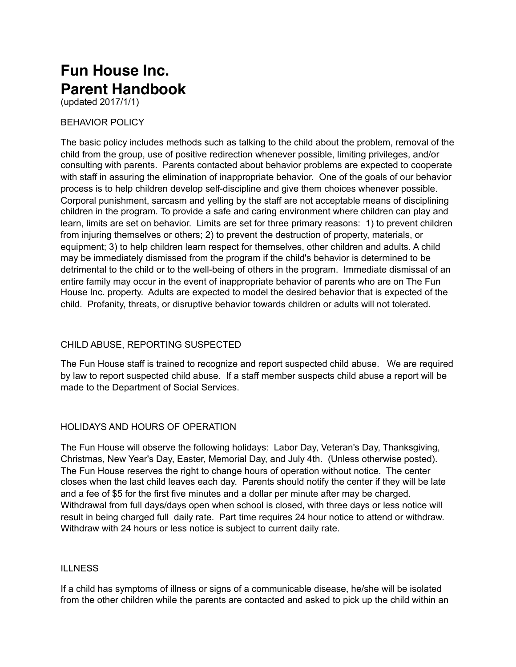# **Fun House Inc. Parent Handbook**

(updated 2017/1/1)

## BEHAVIOR POLICY

The basic policy includes methods such as talking to the child about the problem, removal of the child from the group, use of positive redirection whenever possible, limiting privileges, and/or consulting with parents. Parents contacted about behavior problems are expected to cooperate with staff in assuring the elimination of inappropriate behavior. One of the goals of our behavior process is to help children develop self-discipline and give them choices whenever possible. Corporal punishment, sarcasm and yelling by the staff are not acceptable means of disciplining children in the program. To provide a safe and caring environment where children can play and learn, limits are set on behavior. Limits are set for three primary reasons: 1) to prevent children from injuring themselves or others; 2) to prevent the destruction of property, materials, or equipment; 3) to help children learn respect for themselves, other children and adults. A child may be immediately dismissed from the program if the child's behavior is determined to be detrimental to the child or to the well-being of others in the program. Immediate dismissal of an entire family may occur in the event of inappropriate behavior of parents who are on The Fun House Inc. property. Adults are expected to model the desired behavior that is expected of the child. Profanity, threats, or disruptive behavior towards children or adults will not tolerated.

# CHILD ABUSE, REPORTING SUSPECTED

The Fun House staff is trained to recognize and report suspected child abuse. We are required by law to report suspected child abuse. If a staff member suspects child abuse a report will be made to the Department of Social Services.

# HOLIDAYS AND HOURS OF OPERATION

The Fun House will observe the following holidays: Labor Day, Veteran's Day, Thanksgiving, Christmas, New Year's Day, Easter, Memorial Day, and July 4th. (Unless otherwise posted). The Fun House reserves the right to change hours of operation without notice. The center closes when the last child leaves each day. Parents should notify the center if they will be late and a fee of \$5 for the first five minutes and a dollar per minute after may be charged. Withdrawal from full days/days open when school is closed, with three days or less notice will result in being charged full daily rate. Part time requires 24 hour notice to attend or withdraw. Withdraw with 24 hours or less notice is subject to current daily rate.

## ILLNESS

If a child has symptoms of illness or signs of a communicable disease, he/she will be isolated from the other children while the parents are contacted and asked to pick up the child within an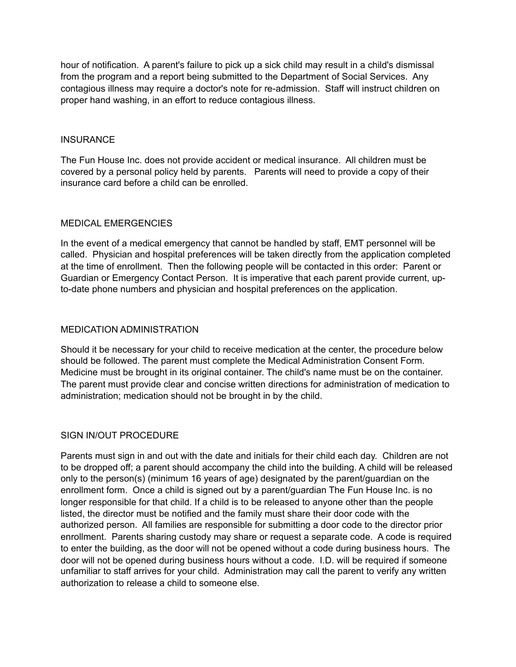hour of notification. A parent's failure to pick up a sick child may result in a child's dismissal from the program and a report being submitted to the Department of Social Services. Any contagious illness may require a doctor's note for re-admission. Staff will instruct children on proper hand washing, in an effort to reduce contagious illness.

#### **INSURANCE**

The Fun House Inc. does not provide accident or medical insurance. All children must be covered by a personal policy held by parents. Parents will need to provide a copy of their insurance card before a child can be enrolled.

#### MEDICAL EMERGENCIES

In the event of a medical emergency that cannot be handled by staff, EMT personnel will be called. Physician and hospital preferences will be taken directly from the application completed at the time of enrollment. Then the following people will be contacted in this order: Parent or Guardian or Emergency Contact Person. It is imperative that each parent provide current, upto-date phone numbers and physician and hospital preferences on the application.

## MEDICATION ADMINISTRATION

Should it be necessary for your child to receive medication at the center, the procedure below should be followed. The parent must complete the Medical Administration Consent Form. Medicine must be brought in its original container. The child's name must be on the container. The parent must provide clear and concise written directions for administration of medication to administration; medication should not be brought in by the child.

## SIGN IN/OUT PROCEDURE

Parents must sign in and out with the date and initials for their child each day. Children are not to be dropped off; a parent should accompany the child into the building. A child will be released only to the person(s) (minimum 16 years of age) designated by the parent/guardian on the enrollment form. Once a child is signed out by a parent/guardian The Fun House Inc. is no longer responsible for that child. If a child is to be released to anyone other than the people listed, the director must be notified and the family must share their door code with the authorized person. All families are responsible for submitting a door code to the director prior enrollment. Parents sharing custody may share or request a separate code. A code is required to enter the building, as the door will not be opened without a code during business hours. The door will not be opened during business hours without a code. I.D. will be required if someone unfamiliar to staff arrives for your child. Administration may call the parent to verify any written authorization to release a child to someone else.